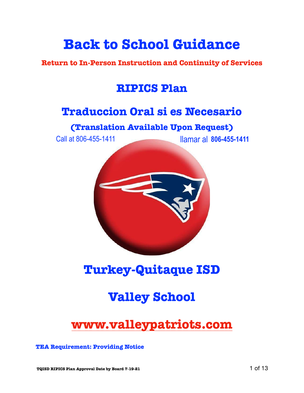# **Back to School Guidance**

**Return to In-Person Instruction and Continuity of Services**

## **RIPICS Plan**

## **Traduccion Oral si es Necesario**

## **(Translation Available Upon Request)**

Call at 806-455-1411 llamar al **806-455-1411**



## **Turkey-Quitaque ISD**

# **Valley School**

# **[www.valleypatriots.com](http://www.valleypatriots.com)**

**TEA Requirement: Providing Notice**

**TQISD RIPICS Plan Approval Date by Board 7-19-21** 1 of 13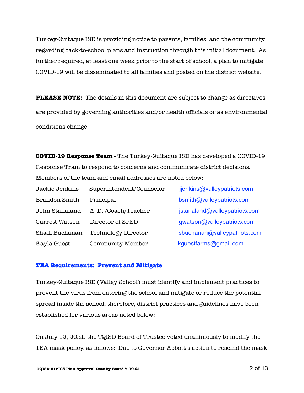Turkey-Quitaque ISD is providing notice to parents, families, and the community regarding back-to-school plans and instruction through this initial document. As further required, at least one week prior to the start of school, a plan to mitigate COVID-19 will be disseminated to all families and posted on the district website.

**PLEASE NOTE:** The details in this document are subject to change as directives are provided by governing authorities and/or health officials or as environmental conditions change.

**COVID-19 Response Team -** The Turkey-Quitaque ISD has developed a COVID-19 Response Tram to respond to concerns and communicate district decisions. Members of the team and email addresses are noted below:

| Jackie Jenkins       | Superintendent/Counselor   | jjenkins@valleypatriots.com   |
|----------------------|----------------------------|-------------------------------|
| <b>Brandon Smith</b> | Principal                  | bsmith@valleypatriots.com     |
| John Stanaland       | A. D. /Coach/Teacher       | jstanaland@valleypatriots.com |
| Garrett Watson       | Director of SPED           | gwatson@valleypatriots.com    |
| Shadi Buchanan       | <b>Technology Director</b> | sbuchanan@valleypatriots.com  |
| Kayla Guest          | <b>Community Member</b>    | kguestfarms@gmail.com         |

#### **TEA Requirements: Prevent and Mitigate**

Turkey-Quitaque ISD (Valley School) must identify and implement practices to prevent the virus from entering the school and mitigate or reduce the potential spread inside the school; therefore, district practices and guidelines have been established for various areas noted below:

On July 12, 2021, the TQISD Board of Trustee voted unanimously to modify the TEA mask policy, as follows: Due to Governor Abbott's action to rescind the mask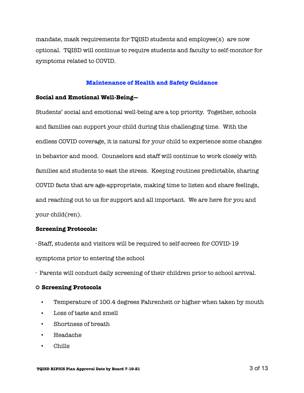mandate, mask requirements for TQISD students and employee(s) are now optional. TQISD will continue to require students and faculty to self-monitor for symptoms related to COVID.

#### **Maintenance of Health and Safety Guidance**

#### **Social and Emotional Well-Being—**

Students' social and emotional well-being are a top priority. Together, schools and families can support your child during this challenging time. With the endless COVID coverage, it is natural for your child to experience some changes in behavior and mood. Counselors and staff will continue to work closely with families and students to east the stress. Keeping routines predictable, sharing COVID facts that are age-appropriate, making time to listen and share feelings, and reaching out to us for support and all important. We are here for you and your child(ren).

#### **Screening Protocols:**

· Staff, students and visitors will be required to self-screen for COVID-19 symptoms prior to entering the school

· Parents will conduct daily screening of their children prior to school arrival.

### **Screening Protocols**

- Temperature of 100.4 degrees Fahrenheit or higher when taken by mouth
- Loss of taste and smell
- Shortness of breath
- Headache
- Chills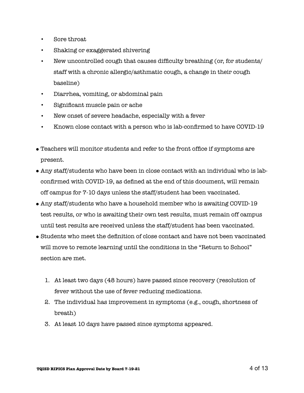- Sore throat
- Shaking or exaggerated shivering
- New uncontrolled cough that causes difficulty breathing (or, for students/ staff with a chronic allergic/asthmatic cough, a change in their cough baseline)
- Diarrhea, vomiting, or abdominal pain
- Significant muscle pain or ache
- New onset of severe headache, especially with a fever
- Known close contact with a person who is lab-confirmed to have COVID-19
- Teachers will monitor students and refer to the front office if symptoms are present.
- Any staff/students who have been in close contact with an individual who is labconfirmed with COVID-19, as defined at the end of this document, will remain off campus for 7-10 days unless the staff/student has been vaccinated.
- Any staff/students who have a household member who is awaiting COVID-19 test results, or who is awaiting their own test results, must remain off campus until test results are received unless the staff/student has been vaccinated.
- Students who meet the definition of close contact and have not been vaccinated will move to remote learning until the conditions in the "Return to School" section are met.
	- 1. At least two days (48 hours) have passed since recovery (resolution of fever without the use of fever reducing medications.
	- 2. The individual has improvement in symptoms (e.g., cough, shortness of breath)
	- 3. At least 10 days have passed since symptoms appeared.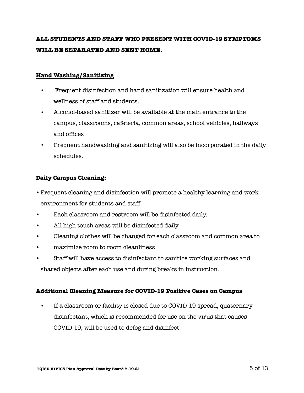## **ALL STUDENTS AND STAFF WHO PRESENT WITH COVID-19 SYMPTOMS WILL BE SEPARATED AND SENT HOME.**

## **Hand Washing/Sanitizing**

- Frequent disinfection and hand sanitization will ensure health and wellness of staff and students.
- Alcohol-based sanitizer will be available at the main entrance to the campus, classrooms, cafeteria, common areas, school vehicles, hallways and offices
- Frequent handwashing and sanitizing will also be incorporated in the daily schedules.

## **Daily Campus Cleaning:**

- •Frequent cleaning and disinfection will promote a healthy learning and work environment for students and staff
- Each classroom and restroom will be disinfected daily.
- All high touch areas will be disinfected daily.
- Cleaning clothes will be changed for each classroom and common area to
- maximize room to room cleanliness
- Staff will have access to disinfectant to sanitize working surfaces and

shared objects after each use and during breaks in instruction.

## **Additional Cleaning Measure for COVID-19 Positive Cases on Campus**

• If a classroom or facility is closed due to COVID-19 spread, quaternary disinfectant, which is recommended for use on the virus that causes COVID-19, will be used to defog and disinfect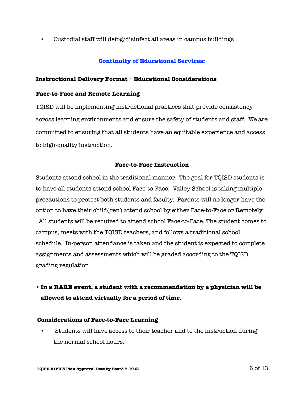• Custodial staff will defog/disinfect all areas in campus buildings

## **Continuity of Educational Services:**

## **Instructional Delivery Format – Educational Considerations**

## **Face-to-Face and Remote Learning**

TQISD will be implementing instructional practices that provide consistency across learning environments and ensure the safety of students and staff. We are committed to ensuring that all students have an equitable experience and access to high-quality instruction.

## **Face-to-Face Instruction**

Students attend school in the traditional manner. The goal for TQISD students is to have all students attend school Face-to-Face. Valley School is taking multiple precautions to protect both students and faculty. Parents will no longer have the option to have their child(ren) attend school by either Face-to-Face or Remotely.

 All students will be required to attend school Face-to-Face. The student comes to campus, meets with the TQISD teachers, and follows a traditional school schedule. In-person attendance is taken and the student is expected to complete assignments and assessments which will be graded according to the TQISD grading regulation

## **•In a RARE event, a student with a recommendation by a physician will be allowed to attend virtually for a period of time.**

## **Considerations of Face-to-Face Learning**

• Students will have access to their teacher and to the instruction during the normal school hours.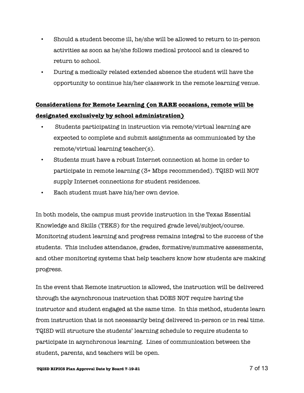- Should a student become ill, he/she will be allowed to return to in-person activities as soon as he/she follows medical protocol and is cleared to return to school.
- During a medically related extended absence the student will have the opportunity to continue his/her classwork in the remote learning venue.

## **Considerations for Remote Learning (on RARE occasions, remote will be designated exclusively by school administration)**

- Students participating in instruction via remote/virtual learning are expected to complete and submit assignments as communicated by the remote/virtual learning teacher(s).
- Students must have a robust Internet connection at home in order to participate in remote learning (3+ Mbps recommended). TQISD will NOT supply Internet connections for student residences.
- Each student must have his/her own device.

In both models, the campus must provide instruction in the Texas Essential Knowledge and Skills (TEKS) for the required grade level/subject/course. Monitoring student learning and progress remains integral to the success of the students. This includes attendance, grades, formative/summative assessments, and other monitoring systems that help teachers know how students are making progress.

In the event that Remote instruction is allowed, the instruction will be delivered through the asynchronous instruction that DOES NOT require having the instructor and student engaged at the same time. In this method, students learn from instruction that is not necessarily being delivered in-person or in real time. TQISD will structure the students' learning schedule to require students to participate in asynchronous learning. Lines of communication between the student, parents, and teachers will be open.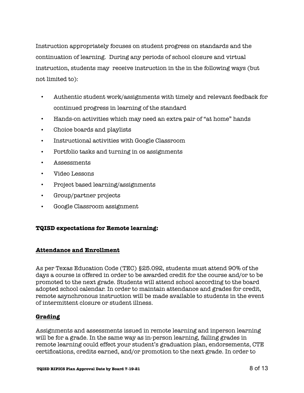Instruction appropriately focuses on student progress on standards and the continuation of learning. During any periods of school closure and virtual instruction, students may receive instruction in the in the following ways (but not limited to):

- Authentic student work/assignments with timely and relevant feedback for continued progress in learning of the standard
- Hands-on activities which may need an extra pair of "at home" hands
- Choice boards and playlists
- Instructional activities with Google Classroom
- Portfolio tasks and turning in os assignments
- Assessments
- Video Lessons
- Project based learning/assignments
- Group/partner projects
- Google Classroom assignment

## **TQISD expectations for Remote learning:**

## **Attendance and Enrollment**

As per Texas Education Code (TEC) §25.092, students must attend 90% of the days a course is offered in order to be awarded credit for the course and/or to be promoted to the next grade. Students will attend school according to the board adopted school calendar. In order to maintain attendance and grades for credit, remote asynchronous instruction will be made available to students in the event of intermittent closure or student illness.

## **Grading**

Assignments and assessments issued in remote learning and inperson learning will be for a grade. In the same way as in-person learning, failing grades in remote learning could effect your student's graduation plan, endorsements, CTE certifications, credits earned, and/or promotion to the next grade. In order to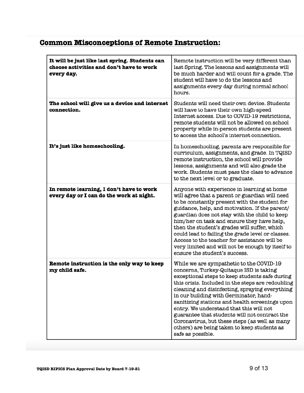## **Common Misconceptions of Remote Instruction:**

| It will be just like last spring. Students can<br>choose activities and don't have to work<br>every day. | Remote instruction will be very different than<br>last Spring. The lessons and assignments will<br>be much harder and will count for a grade. The<br>student will have to do the lessons and<br>assignments every day during normal school<br>hours.                                                                                                                                                                                                                                                                                                      |
|----------------------------------------------------------------------------------------------------------|-----------------------------------------------------------------------------------------------------------------------------------------------------------------------------------------------------------------------------------------------------------------------------------------------------------------------------------------------------------------------------------------------------------------------------------------------------------------------------------------------------------------------------------------------------------|
| The school will give us a device and internet<br>connection.                                             | Students will need their own device. Students<br>will have to have their own high-speed<br>Internet access. Due to COVID-19 restrictions,<br>remote students will not be allowed on school<br>property while in-person students are present<br>to access the school's internet connection.                                                                                                                                                                                                                                                                |
| It's just like homeschooling.                                                                            | In homeschooling, parents are responsible for<br>curriculum, assignments, and grade. In TQISD<br>remote instruction, the school will provide<br>lessons, assignments and will also grade the<br>work. Students must pass the class to advance<br>to the next level or to graduate.                                                                                                                                                                                                                                                                        |
| In remote learning, I don't have to work<br>every day or I can do the work at night.                     | Anyone with experience in learning at home<br>will agree that a parent or guardian will need<br>to be constantly present with the student for<br>guidance, help, and motivation. If the parent/<br>guardian does not stay with the child to keep<br>him/her on task and ensure they have help,<br>then the student's grades will suffer, which<br>could lead to failing the grade level or classes.<br>Access to the teacher for assistance will be<br>very limited and will not be enough by itself to<br>ensure the student's success.                  |
| Remote instruction is the only way to keep<br>my child safe.                                             | While we are sympathetic to the COVID-19<br>concerns, Turkey-Quitaque ISD is taking<br>exceptional steps to keep students safe during<br>this crisis. Included in the steps are redoubling<br>cleaning and disinfecting, spraying everything<br>in our building with Germinator, hand-<br>sanitizing stations and health screenings upon<br>entry. We understand that this will not<br>guarantee that students will not contract the<br>Coronavirus, but these steps (as well as many<br>others) are being taken to keep students as<br>safe as possible. |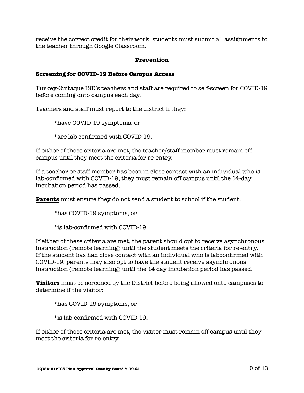receive the correct credit for their work, students must submit all assignments to the teacher through Google Classroom.

## **Prevention**

## **Screening for COVID-19 Before Campus Access**

Turkey-Quitaque ISD's teachers and staff are required to self-screen for COVID-19 before coming onto campus each day.

Teachers and staff must report to the district if they:

\*have COVID-19 symptoms, or

\*are lab confirmed with COVID-19.

If either of these criteria are met, the teacher/staff member must remain off campus until they meet the criteria for re-entry.

If a teacher or staff member has been in close contact with an individual who is lab-confirmed with COVID-19, they must remain off campus until the 14-day incubation period has passed.

**Parents** must ensure they do not send a student to school if the student:

\*has COVID-19 symptoms, or

\*is lab-confirmed with COVID-19.

If either of these criteria are met, the parent should opt to receive asynchronous instruction (remote learning) until the student meets the criteria for re-entry. If the student has had close contact with an individual who is labconfirmed with COVID-19, parents may also opt to have the student receive asynchronous instruction (remote learning) until the 14 day incubation period has passed.

**Visitors** must be screened by the District before being allowed onto campuses to determine if the visitor:

\*has COVID-19 symptoms, or

\*is lab-confirmed with COVID-19.

If either of these criteria are met, the visitor must remain off campus until they meet the criteria for re-entry.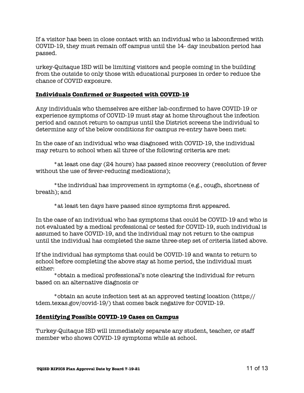If a visitor has been in close contact with an individual who is labconfirmed with COVID-19, they must remain off campus until the 14- day incubation period has passed.

urkey-Quitaque ISD will be limiting visitors and people coming in the building from the outside to only those with educational purposes in order to reduce the chance of COVID exposure.

## **Individuals Confirmed or Suspected with COVID-19**

Any individuals who themselves are either lab-confirmed to have COVID-19 or experience symptoms of COVID-19 must stay at home throughout the infection period and cannot return to campus until the District screens the individual to determine any of the below conditions for campus re-entry have been met:

In the case of an individual who was diagnosed with COVID-19, the individual may return to school when all three of the following criteria are met:

\*at least one day (24 hours) has passed since recovery (resolution of fever without the use of fever-reducing medications);

\*the individual has improvement in symptoms (e.g., cough, shortness of breath); and

\*at least ten days have passed since symptoms first appeared.

In the case of an individual who has symptoms that could be COVID-19 and who is not evaluated by a medical professional or tested for COVID-19, such individual is assumed to have COVID-19, and the individual may not return to the campus until the individual has completed the same three-step set of criteria listed above.

If the individual has symptoms that could be COVID-19 and wants to return to school before completing the above stay at home period, the individual must either:

\*obtain a medical professional's note clearing the individual for return based on an alternative diagnosis or

\*obtain an acute infection test at an approved testing location (https:// tdem.texas.gov/covid-19/) that comes back negative for COVID-19.

## **Identifying Possible COVID-19 Cases on Campus**

Turkey-Quitaque ISD will immediately separate any student, teacher, or staff member who shows COVID-19 symptoms while at school.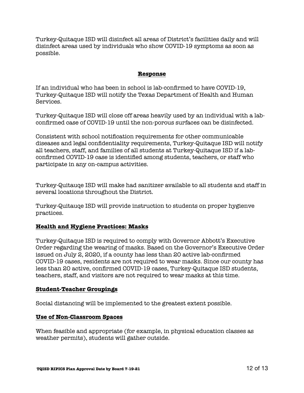Turkey-Quitaque ISD will disinfect all areas of District's facilities daily and will disinfect areas used by individuals who show COVID-19 symptoms as soon as possible.

## **Response**

If an individual who has been in school is lab-confirmed to have COVID-19, Turkey-Quitaque ISD will notify the Texas Department of Health and Human Services.

Turkey-Quitaque ISD will close off areas heavily used by an individual with a labconfirmed case of COVID-19 until the non-porous surfaces can be disinfected.

Consistent with school notification requirements for other communicable diseases and legal confidentiality requirements, Turkey-Quitaque ISD will notify all teachers, staff, and families of all students at Turkey-Quitaque ISD if a labconfirmed COVID-19 case is identified among students, teachers, or staff who participate in any on-campus activities.

Turkey-Quitauqe ISD will make had sanitizer available to all students and staff in several locations throughout the District.

Turkey-Quitauqe ISD will provide instruction to students on proper hygienve practices.

## **Health and Hygiene Practices: Masks**

Turkey-Quitaque ISD is required to comply with Governor Abbott's Executive Order regarding the wearing of masks. Based on the Governor's Executive Order issued on July 2, 2020, if a county has less than 20 active lab-confirmed COVID-19 cases, residents are not required to wear masks. Since our county has less than 20 active, confirmed COVID-19 cases, Turkey-Quitaque ISD students, teachers, staff, and visitors are not required to wear masks at this time.

### **Student-Teacher Groupings**

Social distancing will be implemented to the greatest extent possible.

### **Use of Non-Classroom Spaces**

When feasible and appropriate (for example, in physical education classes as weather permits), students will gather outside.